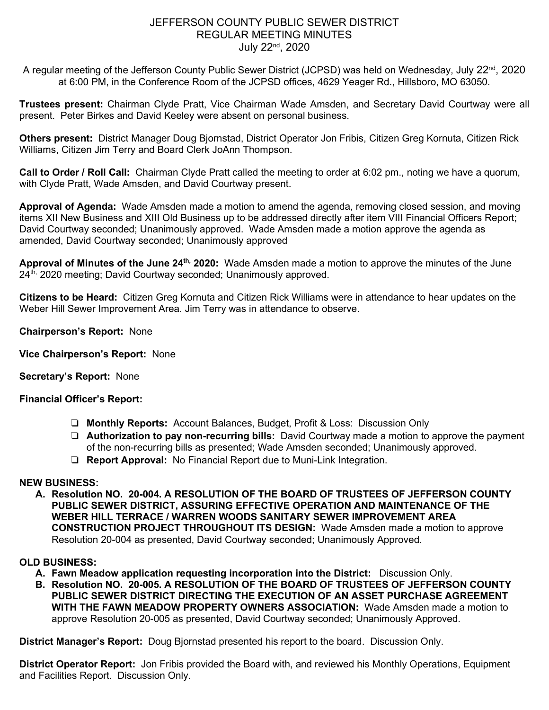# JEFFERSON COUNTY PUBLIC SEWER DISTRICT REGULAR MEETING MINUTES July 22nd, 2020

A regular meeting of the Jefferson County Public Sewer District (JCPSD) was held on Wednesday, July 22<sup>nd</sup>, 2020 at 6:00 PM, in the Conference Room of the JCPSD offices, 4629 Yeager Rd., Hillsboro, MO 63050.

**Trustees present:** Chairman Clyde Pratt, Vice Chairman Wade Amsden, and Secretary David Courtway were all present. Peter Birkes and David Keeley were absent on personal business.

**Others present:** District Manager Doug Bjornstad, District Operator Jon Fribis, Citizen Greg Kornuta, Citizen Rick Williams, Citizen Jim Terry and Board Clerk JoAnn Thompson.

**Call to Order / Roll Call:** Chairman Clyde Pratt called the meeting to order at 6:02 pm., noting we have a quorum, with Clyde Pratt, Wade Amsden, and David Courtway present.

**Approval of Agenda:** Wade Amsden made a motion to amend the agenda, removing closed session, and moving items XII New Business and XIII Old Business up to be addressed directly after item VIII Financial Officers Report; David Courtway seconded; Unanimously approved. Wade Amsden made a motion approve the agenda as amended, David Courtway seconded; Unanimously approved

**Approval of Minutes of the June 24th, 2020:** Wade Amsden made a motion to approve the minutes of the June 24<sup>th,</sup> 2020 meeting; David Courtway seconded; Unanimously approved.

**Citizens to be Heard:** Citizen Greg Kornuta and Citizen Rick Williams were in attendance to hear updates on the Weber Hill Sewer Improvement Area. Jim Terry was in attendance to observe.

**Chairperson's Report:** None

**Vice Chairperson's Report:** None

# **Secretary's Report:** None

#### **Financial Officer's Report:**

- ❏ **Monthly Reports:** Account Balances, Budget, Profit & Loss: Discussion Only
- ❏ **Authorization to pay non-recurring bills:** David Courtway made a motion to approve the payment of the non-recurring bills as presented; Wade Amsden seconded; Unanimously approved.
- ❏ **Report Approval:** No Financial Report due to Muni-Link Integration.

# **NEW BUSINESS:**

**A. Resolution NO. 20-004. A RESOLUTION OF THE BOARD OF TRUSTEES OF JEFFERSON COUNTY PUBLIC SEWER DISTRICT, ASSURING EFFECTIVE OPERATION AND MAINTENANCE OF THE WEBER HILL TERRACE / WARREN WOODS SANITARY SEWER IMPROVEMENT AREA CONSTRUCTION PROJECT THROUGHOUT ITS DESIGN:** Wade Amsden made a motion to approve Resolution 20-004 as presented, David Courtway seconded; Unanimously Approved.

# **OLD BUSINESS:**

- **A. Fawn Meadow application requesting incorporation into the District:** Discussion Only.
- **B. Resolution NO. 20-005. A RESOLUTION OF THE BOARD OF TRUSTEES OF JEFFERSON COUNTY PUBLIC SEWER DISTRICT DIRECTING THE EXECUTION OF AN ASSET PURCHASE AGREEMENT WITH THE FAWN MEADOW PROPERTY OWNERS ASSOCIATION:** Wade Amsden made a motion to approve Resolution 20-005 as presented, David Courtway seconded; Unanimously Approved.

**District Manager's Report:** Doug Bjornstad presented his report to the board. Discussion Only.

**District Operator Report:** Jon Fribis provided the Board with, and reviewed his Monthly Operations, Equipment and Facilities Report. Discussion Only.